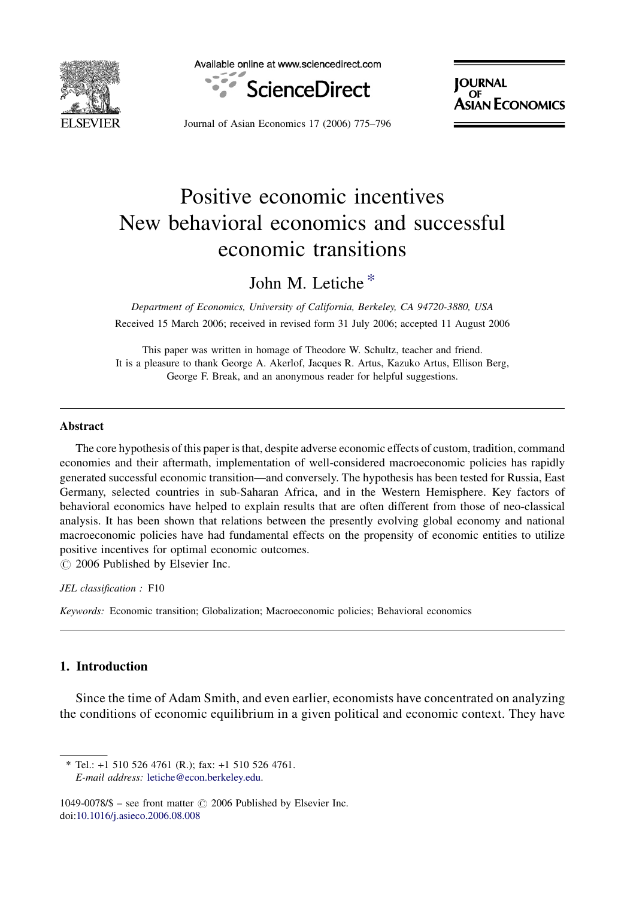

Available online at www.sciencedirect.com



**JOURNAL** OF SIAN ECONOMICS

Journal of Asian Economics 17 (2006) 775–796

# Positive economic incentives New behavioral economics and successful economic transitions

## John M. Letiche \*

Department of Economics, University of California, Berkeley, CA 94720-3880, USA Received 15 March 2006; received in revised form 31 July 2006; accepted 11 August 2006

This paper was written in homage of Theodore W. Schultz, teacher and friend. It is a pleasure to thank George A. Akerlof, Jacques R. Artus, Kazuko Artus, Ellison Berg, George F. Break, and an anonymous reader for helpful suggestions.

#### Abstract

The core hypothesis of this paper is that, despite adverse economic effects of custom, tradition, command economies and their aftermath, implementation of well-considered macroeconomic policies has rapidly generated successful economic transition—and conversely. The hypothesis has been tested for Russia, East Germany, selected countries in sub-Saharan Africa, and in the Western Hemisphere. Key factors of behavioral economics have helped to explain results that are often different from those of neo-classical analysis. It has been shown that relations between the presently evolving global economy and national macroeconomic policies have had fundamental effects on the propensity of economic entities to utilize positive incentives for optimal economic outcomes.

 $\circ$  2006 Published by Elsevier Inc.

JEL classification : F10

Keywords: Economic transition; Globalization; Macroeconomic policies; Behavioral economics

### 1. Introduction

Since the time of Adam Smith, and even earlier, economists have concentrated on analyzing the conditions of economic equilibrium in a given political and economic context. They have

<sup>\*</sup> Tel.: +1 510 526 4761 (R.); fax: +1 510 526 4761. E-mail address: [letiche@econ.berkeley.edu](mailto:letiche@econ.berkeley.edu).

<sup>1049-0078/\$ –</sup> see front matter  $\odot$  2006 Published by Elsevier Inc. doi:[10.1016/j.asieco.2006.08.008](http://dx.doi.org/10.1016/j.asieco.2006.08.008)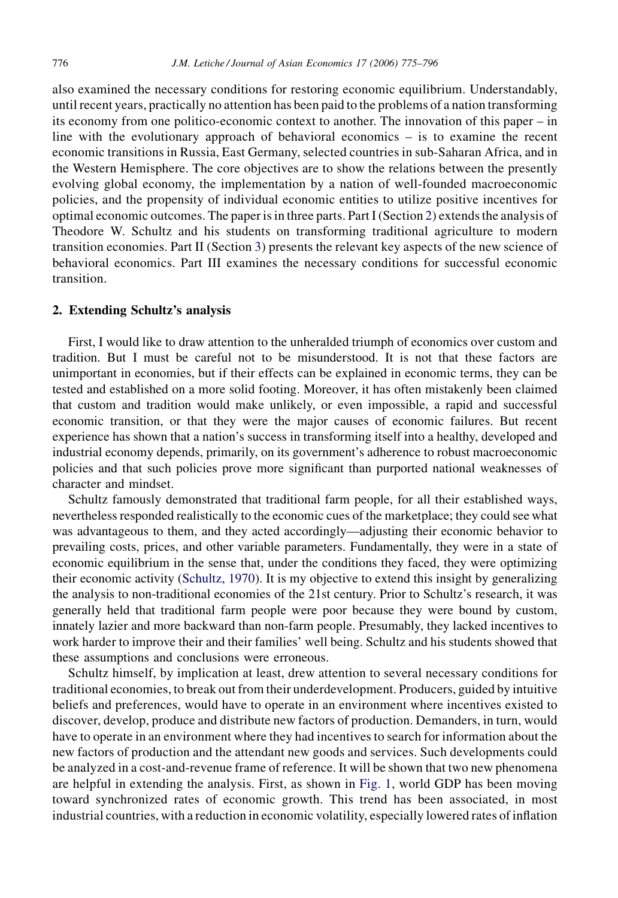also examined the necessary conditions for restoring economic equilibrium. Understandably, until recent years, practically no attention has been paid to the problems of a nation transforming its economy from one politico-economic context to another. The innovation of this paper – in line with the evolutionary approach of behavioral economics – is to examine the recent economic transitions in Russia, East Germany, selected countries in sub-Saharan Africa, and in the Western Hemisphere. The core objectives are to show the relations between the presently evolving global economy, the implementation by a nation of well-founded macroeconomic policies, and the propensity of individual economic entities to utilize positive incentives for optimal economic outcomes. The paper is in three parts. Part I (Section 2) extends the analysis of Theodore W. Schultz and his students on transforming traditional agriculture to modern transition economies. Part II (Section [3](#page--1-0)) presents the relevant key aspects of the new science of behavioral economics. Part III examines the necessary conditions for successful economic transition.

### 2. Extending Schultz's analysis

First, I would like to draw attention to the unheralded triumph of economics over custom and tradition. But I must be careful not to be misunderstood. It is not that these factors are unimportant in economies, but if their effects can be explained in economic terms, they can be tested and established on a more solid footing. Moreover, it has often mistakenly been claimed that custom and tradition would make unlikely, or even impossible, a rapid and successful economic transition, or that they were the major causes of economic failures. But recent experience has shown that a nation's success in transforming itself into a healthy, developed and industrial economy depends, primarily, on its government's adherence to robust macroeconomic policies and that such policies prove more significant than purported national weaknesses of character and mindset.

Schultz famously demonstrated that traditional farm people, for all their established ways, nevertheless responded realistically to the economic cues of the marketplace; they could see what was advantageous to them, and they acted accordingly—adjusting their economic behavior to prevailing costs, prices, and other variable parameters. Fundamentally, they were in a state of economic equilibrium in the sense that, under the conditions they faced, they were optimizing their economic activity [\(Schultz, 1970](#page--1-0)). It is my objective to extend this insight by generalizing the analysis to non-traditional economies of the 21st century. Prior to Schultz's research, it was generally held that traditional farm people were poor because they were bound by custom, innately lazier and more backward than non-farm people. Presumably, they lacked incentives to work harder to improve their and their families' well being. Schultz and his students showed that these assumptions and conclusions were erroneous.

Schultz himself, by implication at least, drew attention to several necessary conditions for traditional economies, to break out from their underdevelopment. Producers, guided by intuitive beliefs and preferences, would have to operate in an environment where incentives existed to discover, develop, produce and distribute new factors of production. Demanders, in turn, would have to operate in an environment where they had incentives to search for information about the new factors of production and the attendant new goods and services. Such developments could be analyzed in a cost-and-revenue frame of reference. It will be shown that two new phenomena are helpful in extending the analysis. First, as shown in [Fig. 1,](#page--1-0) world GDP has been moving toward synchronized rates of economic growth. This trend has been associated, in most industrial countries, with a reduction in economic volatility, especially lowered rates of inflation